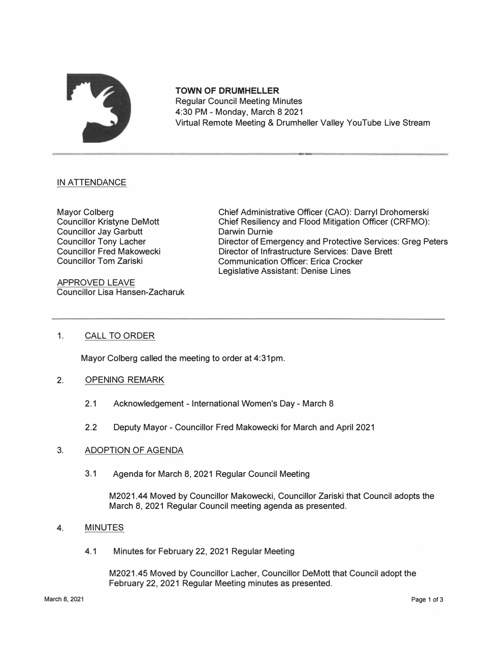

**TOWN OF DRUMHELLER**  Regular Council Meeting Minutes 4:30 PM - Monday, March 8 2021 Virtual Remote Meeting & Drumheller Valley YouTube Live Stream

# IN ATTENDANCE

Mayor Colberg Councillor Kristyne DeMott Councillor Jay Garbutt Councillor Tony Lacher Councillor Fred Makowecki Councillor Tom Zariski

APPROVED LEAVE Councillor Lisa Hansen-Zacharuk Chief Administrative Officer (CAO): Darryl Drohomerski Chief Resiliency and Flood Mitigation Officer (CRFMO): Darwin Durnie Director of Emergency and Protective Services: Greg Peters Director of Infrastructure Services: Dave Brett Communication Officer: Erica Crocker Legislative Assistant: Denise Lines

## 1. CALL TO ORDER

Mayor Colberg called the meeting to order at 4:31pm.

- 2. OPENING REMARK
	- 2.1 Acknowledgement International Women's Day March 8
	- 2.2 Deputy Mayor Councillor Fred Makowecki for March and April 2021

## 3. ADOPTION OF AGENDA

3.1 Agenda for March 8, 2021 Regular Council Meeting

M2021.44 Moved by Councillor Makowecki, Councillor Zariski that Council adopts the March 8, 2021 Regular Council meeting agenda as presented.

#### 4. MINUTES

4.1 Minutes for February 22, 2021 Regular Meeting

M2021.45 Moved by Councillor Lacher, Councillor DeMott that Council adopt the February 22, 2021 Regular Meeting minutes as presented.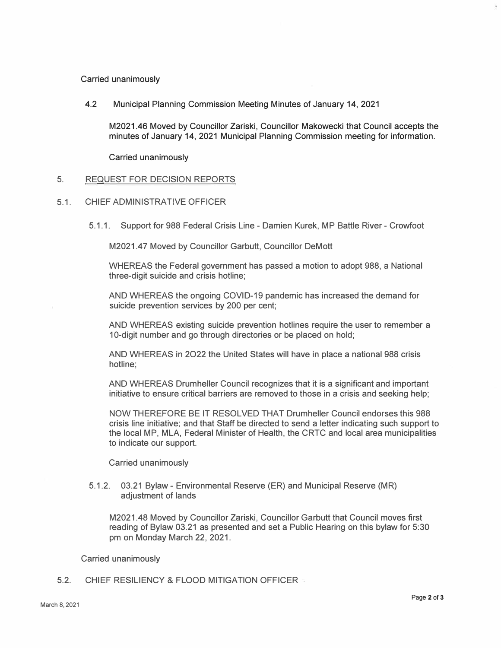Carried unanimously

4.2 Municipal Planning Commission Meeting Minutes of January 14, 2021

M2021.46 Moved by Councillor Zariski, Councillor Makowecki that Council accepts the minutes of January 14, 2021 Municipal Planning Commission meeting for information.

Carried unanimously

## 5. REQUEST FOR DECISION REPORTS

- 5.1. CHIEF ADMINISTRATIVE OFFICER
	- 5.1.1. Support for 988 Federal Crisis Line Damien Kurek, MP Battle River Crowfoot

M2021.47 Moved by Councillor Garbutt, Councillor DeMott

WHEREAS the Federal government has passed a motion to adopt 988, a National three-digit suicide and crisis hotline;

AND WHEREAS the ongoing COVID-19 pandemic has increased the demand for suicide prevention services by 200 per cent;

AND WHEREAS existing suicide prevention hotlines require the user to remember a 10-digit number and go through directories or be placed on hold;

AND WHEREAS in 2022 the United States will have in place a national 988 crisis hotline;

AND WHEREAS Drumheller Council recognizes that it is a significant and important initiative to ensure critical barriers are removed to those in a crisis and seeking help;

NOW THEREFORE BE IT RESOLVED THAT Drumheller Council endorses this 988 crisis line initiative; and that Staff be directed to send a letter indicating such support to the local MP, MLA, Federal Minister of Health, the CRTC and local area municipalities to indicate our support.

Carried unanimously

5.1.2. 03.21 Bylaw - Environmental Reserve (ER) and Municipal Reserve (MR) adjustment of lands

M2021.48 Moved by Councillor Zariski, Councillor Garbutt that Council moves first reading of Bylaw 03.21 as presented and set a Public Hearing on this bylaw for 5:30 pm on Monday March 22, 2021.

Carried unanimously

5.2. CHIEF RESILIENCY & FLOOD MITIGATION OFFICER